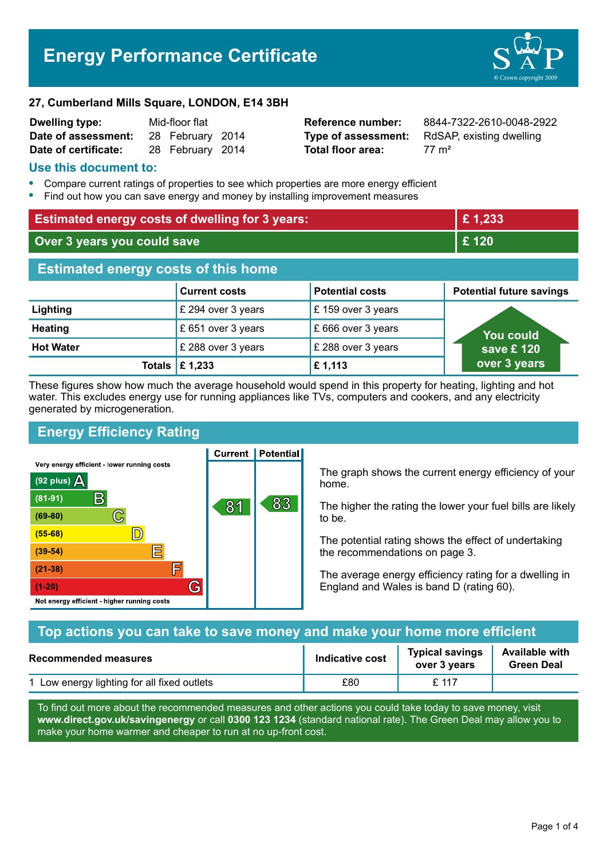# **Energy Performance Certificate**



#### **27, Cumberland Mills Square, LONDON, E14 3BH**

| <b>Dwelling type:</b> | Mid-floor flat |                  |  |
|-----------------------|----------------|------------------|--|
| Date of assessment:   |                | 28 February 2014 |  |
| Date of certificate:  |                | 28 February 2014 |  |

**Total floor area:** 27 m<sup>2</sup>

**Reference number:** 8844-7322-2610-0048-2922 **Type of assessment:** RdSAP, existing dwelling

## **Use this document to:**

- **•** Compare current ratings of properties to see which properties are more energy efficient
- **•** Find out how you can save energy and money by installing improvement measures

| <b>Estimated energy costs of dwelling for 3 years:</b> |                                 |                        | £1,233                          |  |
|--------------------------------------------------------|---------------------------------|------------------------|---------------------------------|--|
| Over 3 years you could save                            |                                 | £ 120                  |                                 |  |
| <b>Estimated energy costs of this home</b>             |                                 |                        |                                 |  |
|                                                        | <b>Current costs</b>            | <b>Potential costs</b> | <b>Potential future savings</b> |  |
| Lighting                                               | £ 294 over 3 years              | £159 over 3 years      |                                 |  |
| <b>Heating</b>                                         | £ 651 over 3 years              | £ 666 over 3 years     | <b>You could</b>                |  |
| <b>Hot Water</b>                                       | £ 288 over 3 years              | £ 288 over 3 years     | save £ $120$                    |  |
|                                                        | Totals $\mathbf \epsilon$ 1,233 | £1,113                 | over 3 years                    |  |

These figures show how much the average household would spend in this property for heating, lighting and hot water. This excludes energy use for running appliances like TVs, computers and cookers, and any electricity generated by microgeneration.

**Current | Potential** 

# **Energy Efficiency Rating**

Very energy efficient - lower running costs



The graph shows the current energy efficiency of your home.

The higher the rating the lower your fuel bills are likely to be.

The potential rating shows the effect of undertaking the recommendations on page 3.

The average energy efficiency rating for a dwelling in England and Wales is band D (rating 60).

| Top actions you can take to save money and make your home more efficient |                        |                                        |                                            |
|--------------------------------------------------------------------------|------------------------|----------------------------------------|--------------------------------------------|
| <b>Recommended measures</b>                                              | <b>Indicative cost</b> | <b>Typical savings</b><br>over 3 years | <b>Available with</b><br><b>Green Deal</b> |
| 1 Low energy lighting for all fixed outlets                              | £80                    | $f$ 117                                |                                            |

To find out more about the recommended measures and other actions you could take today to save money, visit **www.direct.gov.uk/savingenergy** or call **0300 123 1234** (standard national rate). The Green Deal may allow you to make your home warmer and cheaper to run at no up-front cost.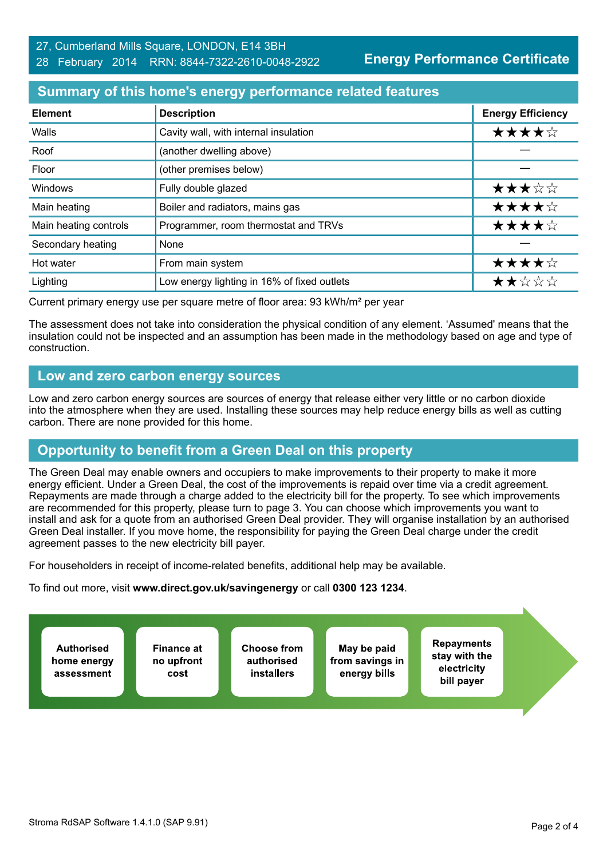## **Energy Performance Certificate**

# **Summary of this home's energy performance related features**

| <b>Element</b>        | <b>Description</b>                          | <b>Energy Efficiency</b> |
|-----------------------|---------------------------------------------|--------------------------|
| Walls                 | Cavity wall, with internal insulation       | ★★★★☆                    |
| Roof                  | (another dwelling above)                    |                          |
| Floor                 | (other premises below)                      |                          |
| Windows               | Fully double glazed                         | ★★★☆☆                    |
| Main heating          | Boiler and radiators, mains gas             | ★★★★☆                    |
| Main heating controls | Programmer, room thermostat and TRVs        | ★★★★☆                    |
| Secondary heating     | None                                        |                          |
| Hot water             | From main system                            | ★★★★☆                    |
| Lighting              | Low energy lighting in 16% of fixed outlets | ★★☆☆☆                    |

Current primary energy use per square metre of floor area: 93 kWh/m² per year

The assessment does not take into consideration the physical condition of any element. 'Assumed' means that the insulation could not be inspected and an assumption has been made in the methodology based on age and type of construction.

## **Low and zero carbon energy sources**

Low and zero carbon energy sources are sources of energy that release either very little or no carbon dioxide into the atmosphere when they are used. Installing these sources may help reduce energy bills as well as cutting carbon. There are none provided for this home.

# **Opportunity to benefit from a Green Deal on this property**

The Green Deal may enable owners and occupiers to make improvements to their property to make it more energy efficient. Under a Green Deal, the cost of the improvements is repaid over time via a credit agreement. Repayments are made through a charge added to the electricity bill for the property. To see which improvements are recommended for this property, please turn to page 3. You can choose which improvements you want to install and ask for a quote from an authorised Green Deal provider. They will organise installation by an authorised Green Deal installer. If you move home, the responsibility for paying the Green Deal charge under the credit agreement passes to the new electricity bill payer.

For householders in receipt of income-related benefits, additional help may be available.

To find out more, visit **www.direct.gov.uk/savingenergy** or call **0300 123 1234**.

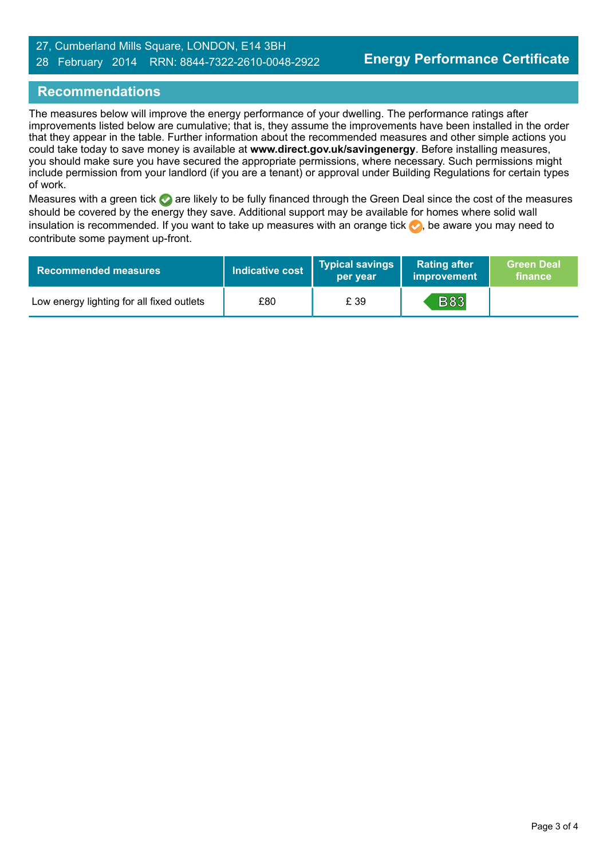### 27, Cumberland Mills Square, LONDON, E14 3BH 28 February 2014 RRN: 8844-7322-2610-0048-2922

# **Recommendations**

The measures below will improve the energy performance of your dwelling. The performance ratings after improvements listed below are cumulative; that is, they assume the improvements have been installed in the order that they appear in the table. Further information about the recommended measures and other simple actions you could take today to save money is available at **www.direct.gov.uk/savingenergy**. Before installing measures, you should make sure you have secured the appropriate permissions, where necessary. Such permissions might include permission from your landlord (if you are a tenant) or approval under Building Regulations for certain types of work.

Measures with a green tick are likely to be fully financed through the Green Deal since the cost of the measures should be covered by the energy they save. Additional support may be available for homes where solid wall insulation is recommended. If you want to take up measures with an orange tick  $\blacklozenge$ , be aware you may need to contribute some payment up-front.

| <b>Recommended measures</b>               | Indicative cost | Typical savings<br>per vear | <b>Rating after</b><br>improvement | <b>Green Deal</b><br>finance |
|-------------------------------------------|-----------------|-----------------------------|------------------------------------|------------------------------|
| Low energy lighting for all fixed outlets | £80             | £ 39                        | <b>B83</b>                         |                              |